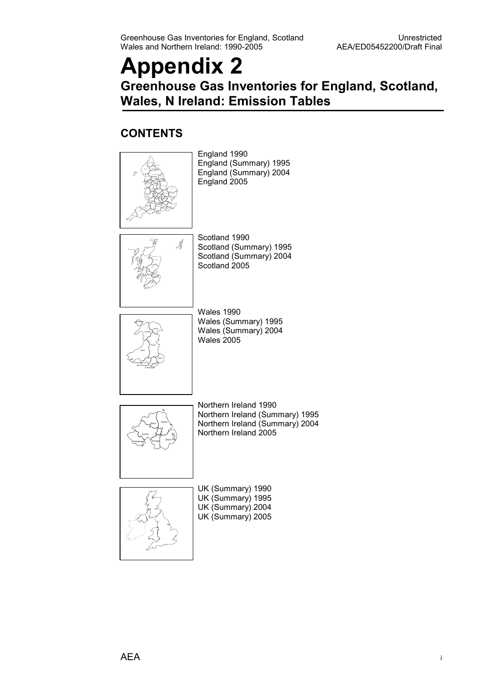### Appendix 2 Greenhouse Gas Inventories for England, Scotland, Wales, N Ireland: Emission Tables

#### **CONTENTS**

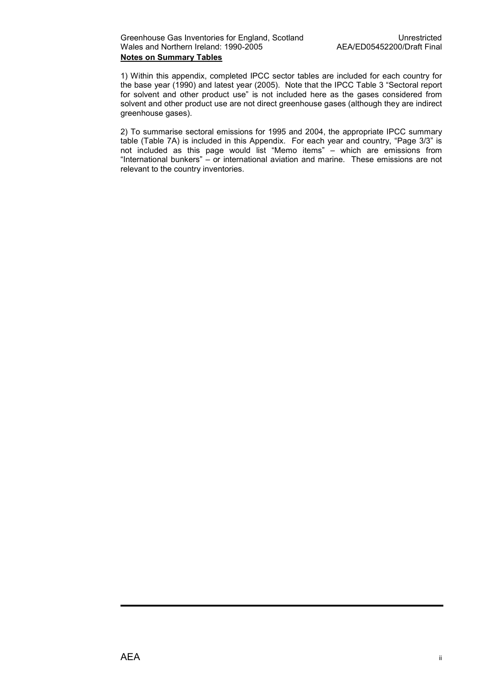1) Within this appendix, completed IPCC sector tables are included for each country for the base year (1990) and latest year (2005). Note that the IPCC Table 3 "Sectoral report for solvent and other product use" is not included here as the gases considered from solvent and other product use are not direct greenhouse gases (although they are indirect greenhouse gases).

2) To summarise sectoral emissions for 1995 and 2004, the appropriate IPCC summary table (Table 7A) is included in this Appendix. For each year and country, "Page 3/3" is not included as this page would list "Memo items" – which are emissions from "International bunkers" – or international aviation and marine. These emissions are not relevant to the country inventories.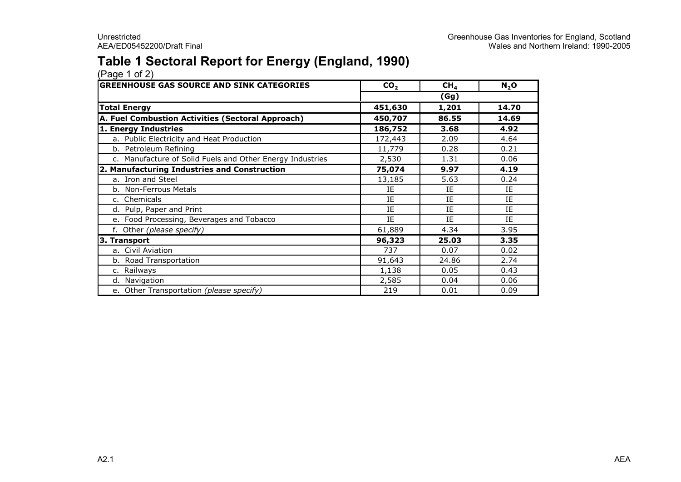### Table 1 Sectoral Report for Energy (England, 1990)

| <b>GREENHOUSE GAS SOURCE AND SINK CATEGORIES</b>          | CO <sub>2</sub> | CH <sub>4</sub> | $N_2$ O |  |  |
|-----------------------------------------------------------|-----------------|-----------------|---------|--|--|
|                                                           | (Gg)            |                 |         |  |  |
| <b>Total Energy</b>                                       | 451,630         | 1,201           | 14.70   |  |  |
| A. Fuel Combustion Activities (Sectoral Approach)         | 450,707         | 86.55           | 14.69   |  |  |
| 1. Energy Industries                                      | 186,752         | 3.68            | 4.92    |  |  |
| a. Public Electricity and Heat Production                 | 172,443         | 2.09            | 4.64    |  |  |
| b. Petroleum Refining                                     | 11,779          | 0.28            | 0.21    |  |  |
| c. Manufacture of Solid Fuels and Other Energy Industries | 2,530           | 1.31            | 0.06    |  |  |
| 2. Manufacturing Industries and Construction              | 75,074          | 9.97            | 4.19    |  |  |
| a. Iron and Steel                                         | 13,185          | 5.63            | 0.24    |  |  |
| b. Non-Ferrous Metals                                     | ΙE              | IE              | IE      |  |  |
| c. Chemicals                                              | IE              | IE              | IE      |  |  |
| d. Pulp, Paper and Print                                  | IE              | IE              | IE      |  |  |
| e. Food Processing, Beverages and Tobacco                 | IE              | IE              | IE      |  |  |
| f. Other (please specify)                                 | 61,889          | 4.34            | 3.95    |  |  |
| 3. Transport                                              | 96,323          | 25.03           | 3.35    |  |  |
| a. Civil Aviation                                         | 737             | 0.07            | 0.02    |  |  |
| b. Road Transportation                                    | 91,643          | 24.86           | 2.74    |  |  |
| c. Railways                                               | 1,138           | 0.05            | 0.43    |  |  |
| d. Navigation                                             | 2,585           | 0.04            | 0.06    |  |  |
| e. Other Transportation (please specify)                  | 219             | 0.01            | 0.09    |  |  |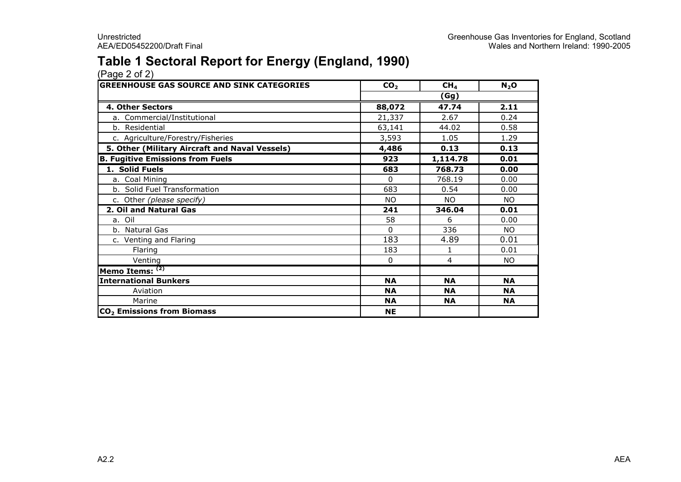### Table 1 Sectoral Report for Energy (England, 1990)

| <b>GREENHOUSE GAS SOURCE AND SINK CATEGORIES</b> | CO <sub>2</sub> | CH <sub>4</sub> | $N_2$ O   |
|--------------------------------------------------|-----------------|-----------------|-----------|
|                                                  |                 | (Gg)            |           |
| 4. Other Sectors                                 | 88,072          | 47.74           | 2.11      |
| a. Commercial/Institutional                      | 21,337          | 2.67            | 0.24      |
| b. Residential                                   | 63,141          | 44.02           | 0.58      |
| c. Agriculture/Forestry/Fisheries                | 3,593           | 1.05            | 1.29      |
| 5. Other (Military Aircraft and Naval Vessels)   | 4,486           | 0.13            | 0.13      |
| <b>B. Fugitive Emissions from Fuels</b>          | 923             | 1,114.78        | 0.01      |
| 1. Solid Fuels                                   | 683             | 768.73          | 0.00      |
| a. Coal Mining                                   | 0               | 768.19          | 0.00      |
| b. Solid Fuel Transformation                     | 683             | 0.54            | 0.00      |
| c. Other (please specify)                        | NO.             | NO.             | NO.       |
| 2. Oil and Natural Gas                           | 241             | 346.04          | 0.01      |
| a. Oil                                           | 58              | 6               | 0.00      |
| b. Natural Gas                                   | 0               | 336             | NO.       |
| c. Venting and Flaring                           | 183             | 4.89            | 0.01      |
| Flaring                                          | 183             | 1               | 0.01      |
| Venting                                          | 0               | 4               | NO.       |
| Memo Items: (2)                                  |                 |                 |           |
| <b>International Bunkers</b>                     | <b>NA</b>       | <b>NA</b>       | <b>NA</b> |
| Aviation                                         | <b>NA</b>       | <b>NA</b>       | <b>NA</b> |
| Marine                                           | <b>NA</b>       | <b>NA</b>       | <b>NA</b> |
| CO <sub>2</sub> Emissions from Biomass           | <b>NE</b>       |                 |           |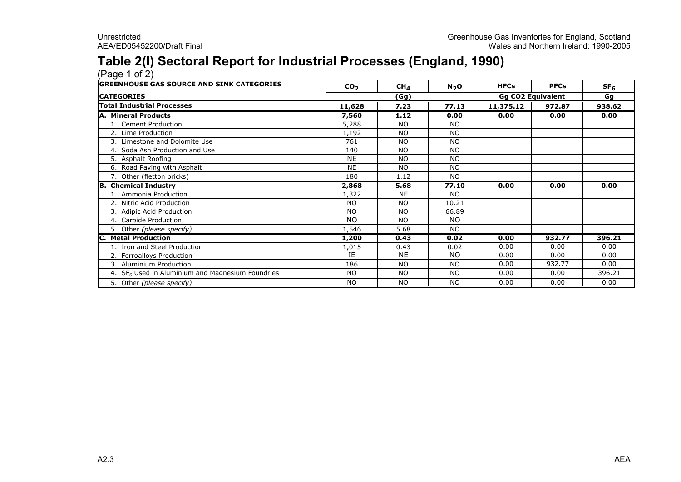### Table 2(I) Sectoral Report for Industrial Processes (England, 1990)

(Page 1 of 2) GREENHOUSE GAS SOURCE AND SINK CATEGORIES $CO<sub>2</sub>$ 2 CH<sub>4</sub> N<sub>2</sub>O HFCs PFCs SF<sub>6</sub> **CATEGORIES**  Gg Total Industrial Processes 11,628 7.23 77.13 11,375.12 972.87 938.62 A. Mineral Products 7,560 1.12 0.00 0.00 0.00 0.00 1. Cement Productionn 5,288 NO NO<br> 1,102 NO NO 2. Lime Production 1,192 NO NO 3. Limestone and Dolomite Use <sup>761</sup> NO NO 4. Soda Ash Production and Use <sup>140</sup> NO NO 5. Asphalt Roofing NEE NO NO<br>E NO NO 6. Road Paving with Asphalt NE NO NO 7. Other (fletton bricks) <sup>180</sup> 1.12 NO B. Chemical Industry 2,868 5.68 77.10 0.00 0.00 0.00 1. Ammonia Productionn 1,322 NE NO<br>22 Ne NO NO NO 10.2 2. Nitric Acid Production **NO 10.21**<br>
2. Nitric Acid Production<br>
3. Adipic Acid Production 3. Adipic Acid Production NO NO 66.89 4. Carbide Productionn NO NO NO 5. Other (please specify) 1,546 5.68 NO **Metal Production**  1,200 0.43 0.02 0.00 932.77 396.21 1. Iron and Steel Production1,015 0.43 0.02 0.00 0.00 0.00<br>TE NIE NIO 0.00 0.00 0.00 0.00 2. Ferroalloys Productionn IE E NE NO  $\begin{array}{|c|c|c|c|c|c|}\n\hline\n0 & 0.00 & 0.00 & 0.00 \\
\hline\n0 & 0.00 & 0.22,77 & 0.00 \\
\hline\n\end{array}$ 3. Aluminium Production186 NO NO 0.00 932.77 0.00<br>سی مورد 186 No No 10 0.00 932.77 10.000 932.77 0.000 932.77 0.000 0.000 0.000 10 206.71 0.000 0.000 0.000 0.00 4.  $SF<sub>6</sub>$  Used in Aluminium and Magnesium Foundries s NO NO NO NO 0.00 0.00 396.21 5. Other (please specify)) NO NO NO NO 1 0.00 0.00 0.00 (Gg)Gg CO2 Equivalent<br>
7.23 | 77.13 | 11.375.12 | 972.8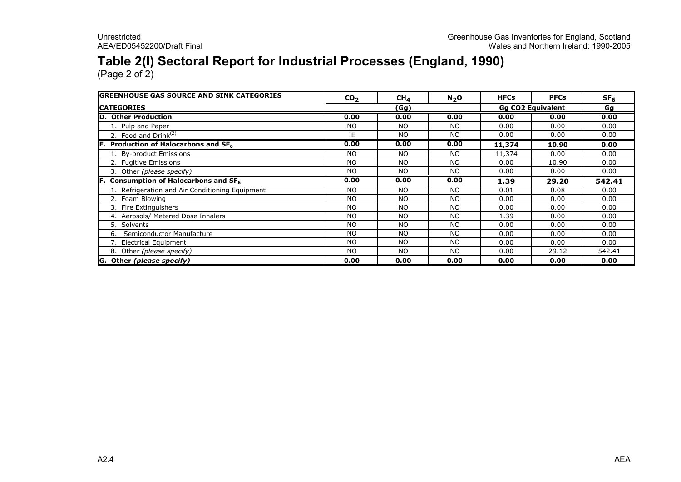### Table 2(I) Sectoral Report for Industrial Processes (England, 1990)

| <b>GREENHOUSE GAS SOURCE AND SINK CATEGORIES</b> | CO <sub>2</sub> | CH <sub>4</sub> | $N_2$ O   | <b>HFCs</b> | <b>PFCs</b>              | SF <sub>6</sub> |
|--------------------------------------------------|-----------------|-----------------|-----------|-------------|--------------------------|-----------------|
| <b>ICATEGORIES</b>                               |                 | (Gg)            |           |             | <b>Gg CO2 Equivalent</b> | Gg              |
| <b>D. Other Production</b>                       | 0.00            | 0.00            | 0.00      | 0.00        | 0.00                     | 0.00            |
| 1. Pulp and Paper                                | <b>NO</b>       | <b>NO</b>       | <b>NO</b> | 0.00        | 0.00                     | 0.00            |
| 2. Food and Drink <sup>(2)</sup>                 | IE              | NO              | NO.       | 0.00        | 0.00                     | 0.00            |
| <b>E.</b> Production of Halocarbons and $SF_6$   | 0.00            | 0.00            | 0.00      | 11,374      | 10.90                    | 0.00            |
| 1. By-product Emissions                          | NO.             | NO.             | NO.       | 11,374      | 0.00                     | 0.00            |
| 2. Fugitive Emissions                            | <b>NO</b>       | NO.             | NO.       | 0.00        | 10.90                    | 0.00            |
| 3. Other (please specify)                        | NO.             | NO              | <b>NO</b> | 0.00        | 0.00                     | 0.00            |
| Consumption of Halocarbons and SF6               | 0.00            | 0.00            | 0.00      | 1.39        | 29.20                    | 542.41          |
| 1. Refrigeration and Air Conditioning Equipment  | NO.             | NO              | NO.       | 0.01        | 0.08                     | 0.00            |
| 2. Foam Blowing                                  | <b>NO</b>       | NO.             | <b>NO</b> | 0.00        | 0.00                     | 0.00            |
| 3. Fire Extinguishers                            | <b>NO</b>       | <b>NO</b>       | <b>NO</b> | 0.00        | 0.00                     | 0.00            |
| 4. Aerosols/ Metered Dose Inhalers               | <b>NO</b>       | <b>NO</b>       | <b>NO</b> | 1.39        | 0.00                     | 0.00            |
| 5. Solvents                                      | <b>NO</b>       | <b>NO</b>       | <b>NO</b> | 0.00        | 0.00                     | 0.00            |
| Semiconductor Manufacture<br>6.                  | <b>NO</b>       | NO.             | <b>NO</b> | 0.00        | 0.00                     | 0.00            |
| 7. Electrical Equipment                          | <b>NO</b>       | <b>NO</b>       | <b>NO</b> | 0.00        | 0.00                     | 0.00            |
| 8. Other (please specify)                        | <b>NO</b>       | NO.             | <b>NO</b> | 0.00        | 29.12                    | 542.41          |
| G. Other (please specify)                        | 0.00            | 0.00            | 0.00      | 0.00        | 0.00                     | 0.00            |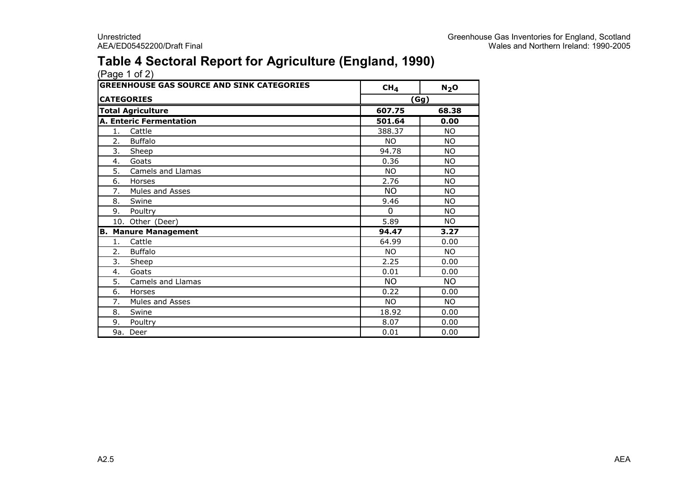### Table 4 Sectoral Report for Agriculture (England, 1990)

| <b>GREENHOUSE GAS SOURCE AND SINK CATEGORIES</b> |                                | CH <sub>4</sub> | $N_2$ O   |
|--------------------------------------------------|--------------------------------|-----------------|-----------|
|                                                  | <b>CATEGORIES</b>              |                 | (Gg)      |
|                                                  | <b>Total Agriculture</b>       | 607.75          | 68.38     |
|                                                  | <b>A. Enteric Fermentation</b> | 501.64          | 0.00      |
| 1.                                               | Cattle                         | 388.37          | <b>NO</b> |
| 2.                                               | <b>Buffalo</b>                 | <b>NO</b>       | <b>NO</b> |
| 3.                                               | Sheep                          | 94.78           | <b>NO</b> |
| 4.                                               | Goats                          | 0.36            | <b>NO</b> |
| 5.                                               | Camels and Llamas              | <b>NO</b>       | <b>NO</b> |
| 6.                                               | Horses                         | 2.76            | <b>NO</b> |
| 7.                                               | Mules and Asses                | <b>NO</b>       | <b>NO</b> |
| 8.                                               | Swine                          | 9.46            | <b>NO</b> |
| 9.                                               | Poultry                        | $\Omega$        | <b>NO</b> |
|                                                  | 10. Other (Deer)               | 5.89            | <b>NO</b> |
|                                                  | <b>B. Manure Management</b>    | 94.47           | 3.27      |
| 1.                                               | Cattle                         | 64.99           | 0.00      |
| 2.                                               | <b>Buffalo</b>                 | <b>NO</b>       | <b>NO</b> |
| 3.                                               | Sheep                          | 2.25            | 0.00      |
| 4.                                               | Goats                          | 0.01            | 0.00      |
| 5.                                               | Camels and Llamas              | <b>NO</b>       | <b>NO</b> |
| 6.                                               | Horses                         | 0.22            | 0.00      |
| 7.                                               | Mules and Asses                | <b>NO</b>       | <b>NO</b> |
| 8.                                               | Swine                          | 18.92           | 0.00      |
| 9.                                               | Poultry                        | 8.07            | 0.00      |
|                                                  | 9a. Deer                       | 0.01            | 0.00      |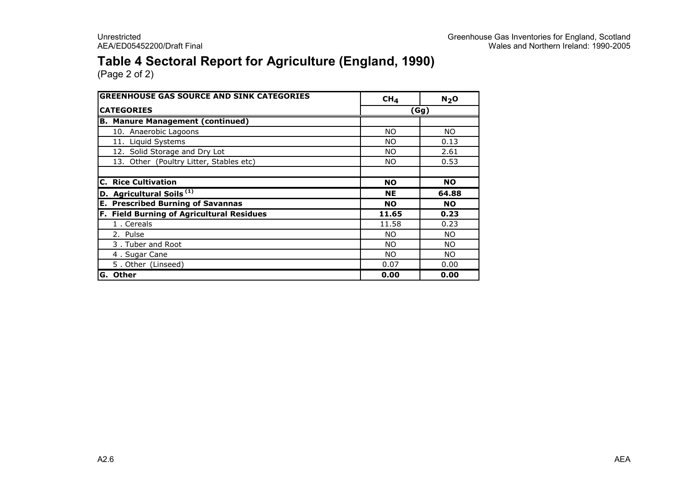### Table 4 Sectoral Report for Agriculture (England, 1990)

| <b>GREENHOUSE GAS SOURCE AND SINK CATEGORIES</b> | CH <sub>4</sub> | N <sub>2</sub> O |  |  |
|--------------------------------------------------|-----------------|------------------|--|--|
| <b>CATEGORIES</b>                                | (Gg)            |                  |  |  |
| <b>B. Manure Management (continued)</b>          |                 |                  |  |  |
| 10. Anaerobic Lagoons                            | NO.             | NO.              |  |  |
| 11. Liquid Systems                               | NO.             | 0.13             |  |  |
| 12. Solid Storage and Dry Lot                    | NO.             | 2.61             |  |  |
| 13. Other (Poultry Litter, Stables etc)          | NO.             | 0.53             |  |  |
|                                                  |                 |                  |  |  |
| <b>C. Rice Cultivation</b>                       | <b>NO</b>       | <b>NO</b>        |  |  |
| D. Agricultural Soils <sup>(1)</sup>             | <b>NE</b>       | 64.88            |  |  |
| <b>E. Prescribed Burning of Savannas</b>         | <b>NO</b>       | <b>NO</b>        |  |  |
| F. Field Burning of Agricultural Residues        | 11.65           | 0.23             |  |  |
| 1. Cereals                                       | 11.58           | 0.23             |  |  |
| 2. Pulse                                         | <b>NO</b>       | NO.              |  |  |
| 3. Tuber and Root                                | <b>NO</b>       | NO.              |  |  |
| 4. Sugar Cane                                    | <b>NO</b>       | NO.              |  |  |
| 5. Other (Linseed)                               | 0.07            | 0.00             |  |  |
| G. Other                                         | 0.00            | 0.00             |  |  |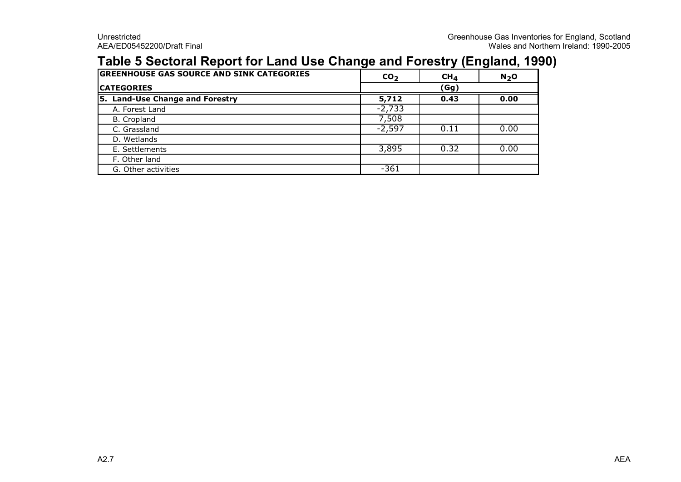### Table 5 Sectoral Report for Land Use Change and Forestry (England, 1990)

| <b>GREENHOUSE GAS SOURCE AND SINK CATEGORIES</b> | CO <sub>2</sub> | CH <sub>4</sub> | $N2$ O |
|--------------------------------------------------|-----------------|-----------------|--------|
| <b>CATEGORIES</b>                                |                 | (Gg)            |        |
| <b>Land-Use Change and Forestry</b><br>l5.       | 5,712           | 0.43            | 0.00   |
| A. Forest Land                                   | $-2,733$        |                 |        |
| <b>B.</b> Cropland                               | 7,508           |                 |        |
| C. Grassland                                     | $-2,597$        | 0.11            | 0.00   |
| D. Wetlands                                      |                 |                 |        |
| E. Settlements                                   | 3,895           | 0.32            | 0.00   |
| F. Other land                                    |                 |                 |        |
| G. Other activities                              | $-361$          |                 |        |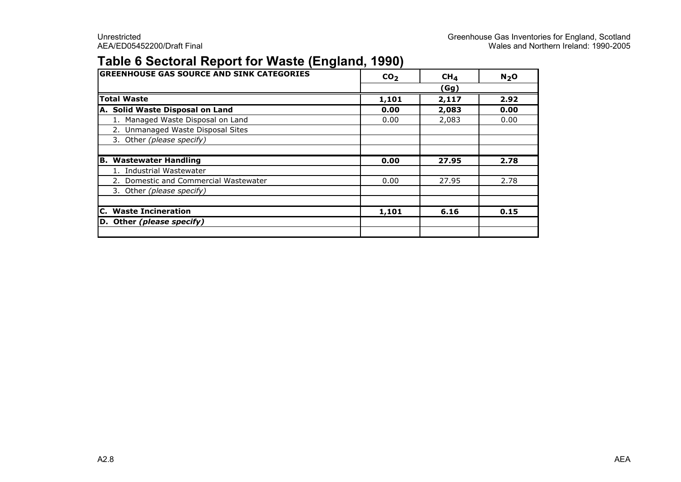### Table 6 Sectoral Report for Waste (England, 1990)

| <b>GREENHOUSE GAS SOURCE AND SINK CATEGORIES</b> | CO <sub>2</sub> | CH <sub>4</sub> | N <sub>2</sub> O |
|--------------------------------------------------|-----------------|-----------------|------------------|
|                                                  |                 | (Gg)            |                  |
| <b>Total Waste</b>                               | 1,101           | 2,117           | 2.92             |
| A. Solid Waste Disposal on Land                  | 0.00            | 2,083           | 0.00             |
| 1. Managed Waste Disposal on Land                | 0.00            | 2,083           | 0.00             |
| 2. Unmanaged Waste Disposal Sites                |                 |                 |                  |
| 3. Other (please specify)                        |                 |                 |                  |
|                                                  |                 |                 |                  |
| В.<br><b>Wastewater Handling</b>                 | 0.00            | 27.95           | 2.78             |
| 1. Industrial Wastewater                         |                 |                 |                  |
| 2. Domestic and Commercial Wastewater            | 0.00            | 27.95           | 2.78             |
| 3. Other (please specify)                        |                 |                 |                  |
|                                                  |                 |                 |                  |
| <b>C.</b> Waste Incineration                     | 1,101           | 6.16            | 0.15             |
| D. Other (please specify)                        |                 |                 |                  |
|                                                  |                 |                 |                  |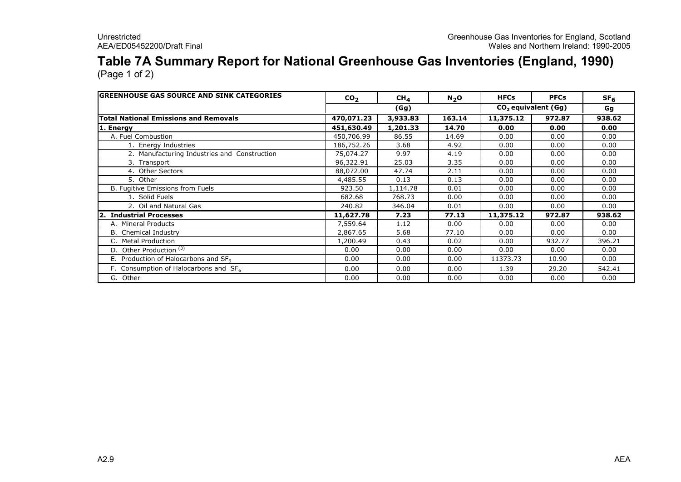## Table 7A Summary Report for National Greenhouse Gas Inventories (England, 1990)

| <b>GREENHOUSE GAS SOURCE AND SINK CATEGORIES</b> | CO <sub>2</sub> | CH <sub>4</sub> | $N_2$ O | <b>HFCs</b>                     | <b>PFCs</b> | SF <sub>6</sub> |
|--------------------------------------------------|-----------------|-----------------|---------|---------------------------------|-------------|-----------------|
|                                                  |                 | (Gg)            |         | CO <sub>2</sub> equivalent (Gg) | Gg          |                 |
| <b>Total National Emissions and Removals</b>     | 470,071.23      | 3,933.83        | 163.14  | 11,375.12                       | 972.87      | 938.62          |
| 1. Energy                                        | 451,630.49      | 1,201.33        | 14.70   | 0.00                            | 0.00        | 0.00            |
| A. Fuel Combustion                               | 450,706.99      | 86.55           | 14.69   | 0.00                            | 0.00        | 0.00            |
| 1. Energy Industries                             | 186,752.26      | 3.68            | 4.92    | 0.00                            | 0.00        | 0.00            |
| 2. Manufacturing Industries and Construction     | 75,074.27       | 9.97            | 4.19    | 0.00                            | 0.00        | 0.00            |
| 3. Transport                                     | 96,322.91       | 25.03           | 3.35    | 0.00                            | 0.00        | 0.00            |
| 4. Other Sectors                                 | 88,072.00       | 47.74           | 2.11    | 0.00                            | 0.00        | 0.00            |
| 5. Other                                         | 4,485.55        | 0.13            | 0.13    | 0.00                            | 0.00        | 0.00            |
| B. Fugitive Emissions from Fuels                 | 923.50          | 1,114.78        | 0.01    | 0.00                            | 0.00        | 0.00            |
| 1. Solid Fuels                                   | 682.68          | 768.73          | 0.00    | 0.00                            | 0.00        | 0.00            |
| 2. Oil and Natural Gas                           | 240.82          | 346.04          | 0.01    | 0.00                            | 0.00        | 0.00            |
| 2. Industrial Processes                          | 11,627.78       | 7.23            | 77.13   | 11,375.12                       | 972.87      | 938.62          |
| A. Mineral Products                              | 7,559.64        | 1.12            | 0.00    | 0.00                            | 0.00        | 0.00            |
| <b>B.</b> Chemical Industry                      | 2,867.65        | 5.68            | 77.10   | 0.00                            | 0.00        | 0.00            |
| C. Metal Production                              | 1,200.49        | 0.43            | 0.02    | 0.00                            | 932.77      | 396.21          |
| D. Other Production <sup>(3)</sup>               | 0.00            | 0.00            | 0.00    | 0.00                            | 0.00        | 0.00            |
| E. Production of Halocarbons and $SF6$           | 0.00            | 0.00            | 0.00    | 11373.73                        | 10.90       | 0.00            |
| F. Consumption of Halocarbons and $SF6$          | 0.00            | 0.00            | 0.00    | 1.39                            | 29.20       | 542.41          |
| G. Other                                         | 0.00            | 0.00            | 0.00    | 0.00                            | 0.00        | 0.00            |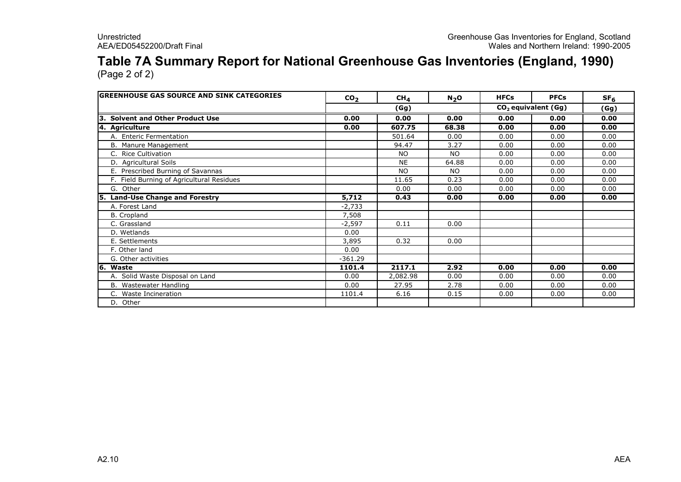# Table 7A Summary Report for National Greenhouse Gas Inventories (England, 1990)

| <b>lGREENHOUSE GAS SOURCE AND SINK CATEGORIES</b> | CO <sub>2</sub> | CH <sub>4</sub> | $N_2$ O | <b>HFCs</b>           | <b>PFCs</b> | SF <sub>6</sub> |
|---------------------------------------------------|-----------------|-----------------|---------|-----------------------|-------------|-----------------|
|                                                   |                 | (Gg)            |         | $CO2$ equivalent (Gg) |             | (Gg)            |
| <b>Solvent and Other Product Use</b><br>Із.       | 0.00            | 0.00            | 0.00    | 0.00                  | 0.00        | 0.00            |
| 4. Agriculture                                    | 0.00            | 607.75          | 68.38   | 0.00                  | 0.00        | 0.00            |
| A. Enteric Fermentation                           |                 | 501.64          | 0.00    | 0.00                  | 0.00        | 0.00            |
| B. Manure Management                              |                 | 94.47           | 3.27    | 0.00                  | 0.00        | 0.00            |
| C. Rice Cultivation                               |                 | <b>NO</b>       | NO.     | 0.00                  | 0.00        | 0.00            |
| D. Agricultural Soils                             |                 | <b>NE</b>       | 64.88   | 0.00                  | 0.00        | 0.00            |
| E. Prescribed Burning of Savannas                 |                 | <b>NO</b>       | NO.     | 0.00                  | 0.00        | 0.00            |
| F. Field Burning of Agricultural Residues         |                 | 11.65           | 0.23    | 0.00                  | 0.00        | 0.00            |
| G. Other                                          |                 | 0.00            | 0.00    | 0.00                  | 0.00        | 0.00            |
| 5. Land-Use Change and Forestry                   | 5,712           | 0.43            | 0.00    | 0.00                  | 0.00        | 0.00            |
| A. Forest Land                                    | $-2,733$        |                 |         |                       |             |                 |
| B. Cropland                                       | 7,508           |                 |         |                       |             |                 |
| C. Grassland                                      | $-2,597$        | 0.11            | 0.00    |                       |             |                 |
| D. Wetlands                                       | 0.00            |                 |         |                       |             |                 |
| E. Settlements                                    | 3,895           | 0.32            | 0.00    |                       |             |                 |
| F. Other land                                     | 0.00            |                 |         |                       |             |                 |
| G. Other activities                               | $-361.29$       |                 |         |                       |             |                 |
| 16. Waste                                         | 1101.4          | 2117.1          | 2.92    | 0.00                  | 0.00        | 0.00            |
| A. Solid Waste Disposal on Land                   | 0.00            | 2,082.98        | 0.00    | 0.00                  | 0.00        | 0.00            |
| B. Wastewater Handling                            | 0.00            | 27.95           | 2.78    | 0.00                  | 0.00        | 0.00            |
| C. Waste Incineration                             | 1101.4          | 6.16            | 0.15    | 0.00                  | 0.00        | 0.00            |
| D. Other                                          |                 |                 |         |                       |             |                 |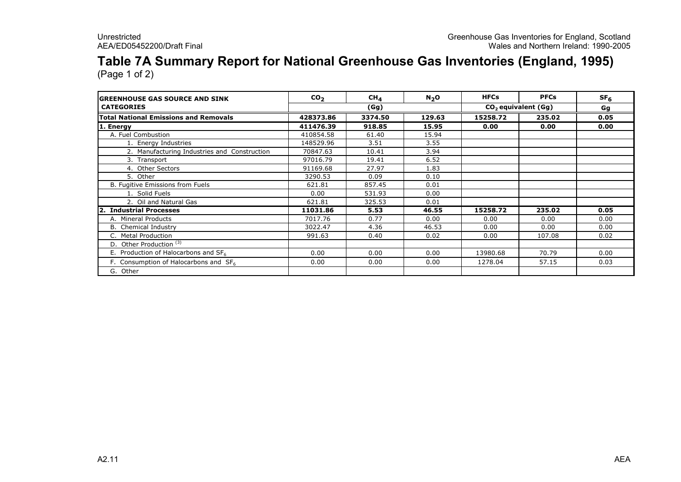## Table 7A Summary Report for National Greenhouse Gas Inventories (England, 1995)

| <b>IGREENHOUSE GAS SOURCE AND SINK</b>           | CO <sub>2</sub> | CH <sub>4</sub> | $N_2$ O | <b>HFCs</b> | <b>PFCs</b>           | SF <sub>6</sub> |  |
|--------------------------------------------------|-----------------|-----------------|---------|-------------|-----------------------|-----------------|--|
| <b>CATEGORIES</b>                                |                 | (Gg)            |         |             | $CO2$ equivalent (Gg) |                 |  |
| <b>Total National Emissions and Removals</b>     | 428373.86       | 3374.50         | 129.63  | 15258.72    | 235.02                | 0.05            |  |
| 1. Energy                                        | 411476.39       | 918.85          | 15.95   | 0.00        | 0.00                  | 0.00            |  |
| A. Fuel Combustion                               | 410854.58       | 61.40           | 15.94   |             |                       |                 |  |
| 1. Energy Industries                             | 148529.96       | 3.51            | 3.55    |             |                       |                 |  |
| 2. Manufacturing Industries and Construction     | 70847.63        | 10.41           | 3.94    |             |                       |                 |  |
| 3. Transport                                     | 97016.79        | 19.41           | 6.52    |             |                       |                 |  |
| 4. Other Sectors                                 | 91169.68        | 27.97           | 1.83    |             |                       |                 |  |
| 5. Other                                         | 3290.53         | 0.09            | 0.10    |             |                       |                 |  |
| B. Fugitive Emissions from Fuels                 | 621.81          | 857.45          | 0.01    |             |                       |                 |  |
| 1. Solid Fuels                                   | 0.00            | 531.93          | 0.00    |             |                       |                 |  |
| 2. Oil and Natural Gas                           | 621.81          | 325.53          | 0.01    |             |                       |                 |  |
| <b>Industrial Processes</b><br>12.               | 11031.86        | 5.53            | 46.55   | 15258.72    | 235.02                | 0.05            |  |
| A. Mineral Products                              | 7017.76         | 0.77            | 0.00    | 0.00        | 0.00                  | 0.00            |  |
| <b>B.</b> Chemical Industry                      | 3022.47         | 4.36            | 46.53   | 0.00        | 0.00                  | 0.00            |  |
| C. Metal Production                              | 991.63          | 0.40            | 0.02    | 0.00        | 107.08                | 0.02            |  |
| D. Other Production <sup>(3)</sup>               |                 |                 |         |             |                       |                 |  |
| E. Production of Halocarbons and SF <sub>6</sub> | 0.00            | 0.00            | 0.00    | 13980.68    | 70.79                 | 0.00            |  |
| F. Consumption of Halocarbons and $SF6$          | 0.00            | 0.00            | 0.00    | 1278.04     | 57.15                 | 0.03            |  |
| G. Other                                         |                 |                 |         |             |                       |                 |  |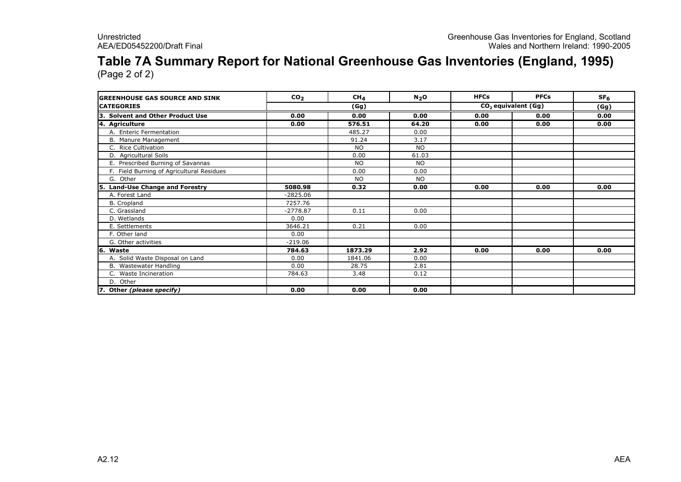# Table 7A Summary Report for National Greenhouse Gas Inventories (England, 1995)

| <b>lGREENHOUSE GAS SOURCE AND SINK</b>      | CO <sub>2</sub> | CH <sub>4</sub> | N <sub>2</sub> O | <b>HFCs</b> | <b>PFCs</b>                     | SF <sub>6</sub> |
|---------------------------------------------|-----------------|-----------------|------------------|-------------|---------------------------------|-----------------|
| <b>CATEGORIES</b>                           |                 | (Gg)            |                  |             | CO <sub>2</sub> equivalent (Gg) | (Gg)            |
| <b>Solvent and Other Product Use</b><br>ΙЗ. | 0.00            | 0.00            | 0.00             | 0.00        | 0.00                            | 0.00            |
| 4. Agriculture                              | 0.00            | 576.51          | 64.20            | 0.00        | 0.00                            | 0.00            |
| A. Enteric Fermentation                     |                 | 485.27          | 0.00             |             |                                 |                 |
| B. Manure Management                        |                 | 91.24           | 3.17             |             |                                 |                 |
| C. Rice Cultivation                         |                 | <b>NO</b>       | <b>NO</b>        |             |                                 |                 |
| D. Agricultural Soils                       |                 | 0.00            | 61.03            |             |                                 |                 |
| E. Prescribed Burning of Savannas           |                 | <b>NO</b>       | <b>NO</b>        |             |                                 |                 |
| F. Field Burning of Agricultural Residues   |                 | 0.00            | 0.00             |             |                                 |                 |
| G. Other                                    |                 | <b>NO</b>       | <b>NO</b>        |             |                                 |                 |
| 5. Land-Use Change and Forestry             | 5080.98         | 0.32            | 0.00             | 0.00        | 0.00                            | 0.00            |
| A. Forest Land                              | $-2825.06$      |                 |                  |             |                                 |                 |
| <b>B.</b> Cropland                          | 7257.76         |                 |                  |             |                                 |                 |
| C. Grassland                                | $-2778.87$      | 0.11            | 0.00             |             |                                 |                 |
| D. Wetlands                                 | 0.00            |                 |                  |             |                                 |                 |
| E. Settlements                              | 3646.21         | 0.21            | 0.00             |             |                                 |                 |
| F. Other land                               | 0.00            |                 |                  |             |                                 |                 |
| G. Other activities                         | $-219.06$       |                 |                  |             |                                 |                 |
| 6. Waste                                    | 784.63          | 1873.29         | 2.92             | 0.00        | 0.00                            | 0.00            |
| A. Solid Waste Disposal on Land             | 0.00            | 1841.06         | 0.00             |             |                                 |                 |
| B. Wastewater Handling                      | 0.00            | 28.75           | 2.81             |             |                                 |                 |
| C. Waste Incineration                       | 784.63          | 3.48            | 0.12             |             |                                 |                 |
| D. Other                                    |                 |                 |                  |             |                                 |                 |
| 7. Other (please specify)                   | 0.00            | 0.00            | 0.00             |             |                                 |                 |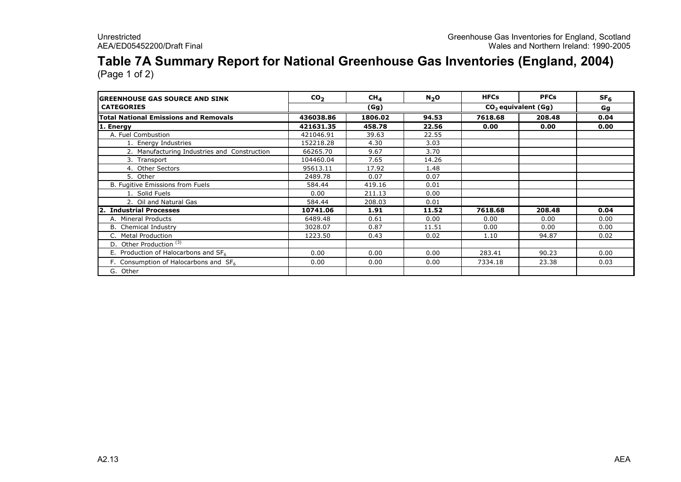## Table 7A Summary Report for National Greenhouse Gas Inventories (England, 2004)

| <b>IGREENHOUSE GAS SOURCE AND SINK</b>           | CO <sub>2</sub> | CH <sub>4</sub> | $N_2$ O | <b>HFCs</b> | <b>PFCs</b>           | SF <sub>6</sub> |
|--------------------------------------------------|-----------------|-----------------|---------|-------------|-----------------------|-----------------|
| <b>CATEGORIES</b>                                |                 | (Gg)            |         |             | $CO2$ equivalent (Gg) | Gg              |
| <b>Total National Emissions and Removals</b>     | 436038.86       | 1806.02         | 94.53   | 7618.68     | 208.48                | 0.04            |
| 1. Energy                                        | 421631.35       | 458.78          | 22.56   | 0.00        | 0.00                  | 0.00            |
| A. Fuel Combustion                               | 421046.91       | 39.63           | 22.55   |             |                       |                 |
| 1. Energy Industries                             | 152218.28       | 4.30            | 3.03    |             |                       |                 |
| 2. Manufacturing Industries and Construction     | 66265.70        | 9.67            | 3.70    |             |                       |                 |
| 3. Transport                                     | 104460.04       | 7.65            | 14.26   |             |                       |                 |
| 4. Other Sectors                                 | 95613.11        | 17.92           | 1.48    |             |                       |                 |
| 5. Other                                         | 2489.78         | 0.07            | 0.07    |             |                       |                 |
| B. Fugitive Emissions from Fuels                 | 584.44          | 419.16          | 0.01    |             |                       |                 |
| 1. Solid Fuels                                   | 0.00            | 211.13          | 0.00    |             |                       |                 |
| 2. Oil and Natural Gas                           | 584.44          | 208.03          | 0.01    |             |                       |                 |
| <b>Industrial Processes</b><br>12.               | 10741.06        | 1.91            | 11.52   | 7618.68     | 208.48                | 0.04            |
| A. Mineral Products                              | 6489.48         | 0.61            | 0.00    | 0.00        | 0.00                  | 0.00            |
| <b>B.</b> Chemical Industry                      | 3028.07         | 0.87            | 11.51   | 0.00        | 0.00                  | 0.00            |
| C. Metal Production                              | 1223.50         | 0.43            | 0.02    | 1.10        | 94.87                 | 0.02            |
| D. Other Production <sup>(3)</sup>               |                 |                 |         |             |                       |                 |
| E. Production of Halocarbons and SF <sub>6</sub> | 0.00            | 0.00            | 0.00    | 283.41      | 90.23                 | 0.00            |
| F. Consumption of Halocarbons and $SF6$          | 0.00            | 0.00            | 0.00    | 7334.18     | 23.38                 | 0.03            |
| G. Other                                         |                 |                 |         |             |                       |                 |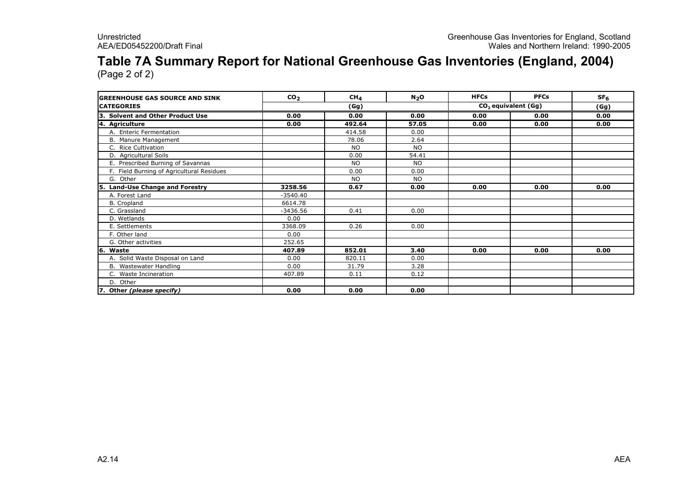### Table 7A Summary Report for National Greenhouse Gas Inventories (England, 2004)

| <b>IGREENHOUSE GAS SOURCE AND SINK</b>      | CO <sub>2</sub> | CH <sub>4</sub> | N <sub>2</sub> O | <b>HFCs</b>           | <b>PFCs</b> | SF <sub>6</sub> |
|---------------------------------------------|-----------------|-----------------|------------------|-----------------------|-------------|-----------------|
| <b>CATEGORIES</b>                           | (Gg)            |                 |                  | $CO2$ equivalent (Gg) | (Gg)        |                 |
| <b>Solvent and Other Product Use</b><br>13. | 0.00            | 0.00            | 0.00             | 0.00                  | 0.00        | 0.00            |
| 4. Agriculture                              | 0.00            | 492.64          | 57.05            | 0.00                  | 0.00        | 0.00            |
| A. Enteric Fermentation                     |                 | 414.58          | 0.00             |                       |             |                 |
| B. Manure Management                        |                 | 78.06           | 2.64             |                       |             |                 |
| C. Rice Cultivation                         |                 | <b>NO</b>       | <b>NO</b>        |                       |             |                 |
| D. Agricultural Soils                       |                 | 0.00            | 54.41            |                       |             |                 |
| E. Prescribed Burning of Savannas           |                 | <b>NO</b>       | <b>NO</b>        |                       |             |                 |
| F. Field Burning of Agricultural Residues   |                 | 0.00            | 0.00             |                       |             |                 |
| G. Other                                    |                 | <b>NO</b>       | <b>NO</b>        |                       |             |                 |
| 5. Land-Use Change and Forestry             | 3258.56         | 0.67            | 0.00             | 0.00                  | 0.00        | 0.00            |
| A. Forest Land                              | $-3540.40$      |                 |                  |                       |             |                 |
| B. Cropland                                 | 6614.78         |                 |                  |                       |             |                 |
| C. Grassland                                | $-3436.56$      | 0.41            | 0.00             |                       |             |                 |
| D. Wetlands                                 | 0.00            |                 |                  |                       |             |                 |
| E. Settlements                              | 3368.09         | 0.26            | 0.00             |                       |             |                 |
| F. Other land                               | 0.00            |                 |                  |                       |             |                 |
| G. Other activities                         | 252.65          |                 |                  |                       |             |                 |
| 6. Waste                                    | 407.89          | 852.01          | 3.40             | 0.00                  | 0.00        | 0.00            |
| A. Solid Waste Disposal on Land             | 0.00            | 820.11          | 0.00             |                       |             |                 |
| B. Wastewater Handling                      | 0.00            | 31.79           | 3.28             |                       |             |                 |
| C. Waste Incineration                       | 407.89          | 0.11            | 0.12             |                       |             |                 |
| D. Other                                    |                 |                 |                  |                       |             |                 |
| 7. Other (please specify)                   | 0.00            | 0.00            | 0.00             |                       |             |                 |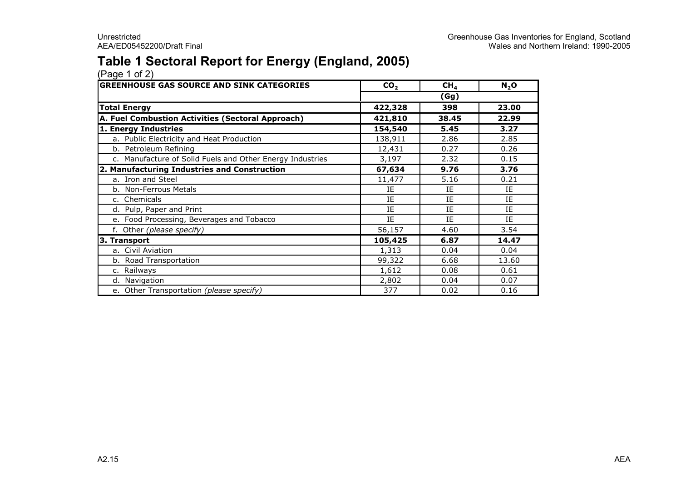### Table 1 Sectoral Report for Energy (England, 2005)

| <b>GREENHOUSE GAS SOURCE AND SINK CATEGORIES</b>          | CO <sub>2</sub> | CH <sub>4</sub> | $N_2$ O |
|-----------------------------------------------------------|-----------------|-----------------|---------|
|                                                           | (Gg)            |                 |         |
| <b>Total Energy</b>                                       | 422,328         | 398             | 23.00   |
| A. Fuel Combustion Activities (Sectoral Approach)         | 421,810         | 38.45           | 22.99   |
| 1. Energy Industries                                      | 154,540         | 5.45            | 3.27    |
| a. Public Electricity and Heat Production                 | 138,911         | 2.86            | 2.85    |
| b. Petroleum Refining                                     | 12,431          | 0.27            | 0.26    |
| c. Manufacture of Solid Fuels and Other Energy Industries | 3,197           | 2.32            | 0.15    |
| 2. Manufacturing Industries and Construction              | 67,634          | 9.76            | 3.76    |
| a. Iron and Steel                                         | 11,477          | 5.16            | 0.21    |
| b. Non-Ferrous Metals                                     | IE              | IE              | IE      |
| c. Chemicals                                              | IE              | IE              | IE      |
| d. Pulp, Paper and Print                                  | IE              | IE              | IE      |
| e. Food Processing, Beverages and Tobacco                 | IE              | IE              | IE      |
| f. Other (please specify)                                 | 56,157          | 4.60            | 3.54    |
| 3. Transport                                              | 105,425         | 6.87            | 14.47   |
| a. Civil Aviation                                         | 1,313           | 0.04            | 0.04    |
| b. Road Transportation                                    | 99,322          | 6.68            | 13.60   |
| c. Railways                                               | 1,612           | 0.08            | 0.61    |
| d. Navigation                                             | 2,802           | 0.04            | 0.07    |
| e. Other Transportation (please specify)                  | 377             | 0.02            | 0.16    |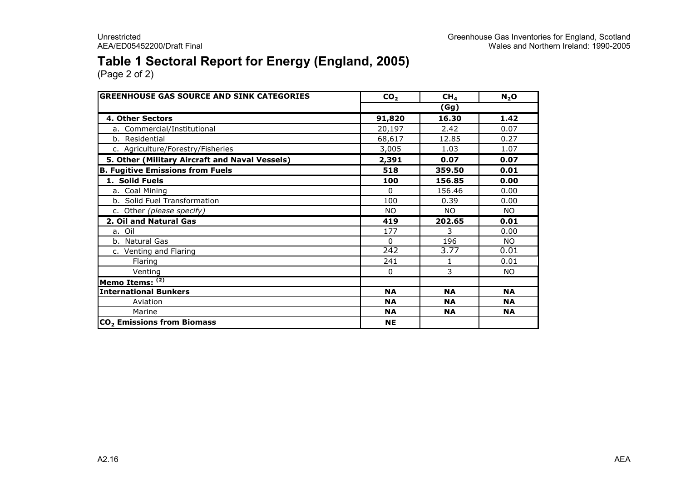### Table 1 Sectoral Report for Energy (England, 2005)

| <b>GREENHOUSE GAS SOURCE AND SINK CATEGORIES</b> | CO <sub>2</sub>  | CH <sub>4</sub> | $N_2$ O   |
|--------------------------------------------------|------------------|-----------------|-----------|
|                                                  |                  |                 |           |
| 4. Other Sectors                                 | 91,820           | 16.30           | 1.42      |
| a. Commercial/Institutional                      | 20,197           | 2.42            | 0.07      |
| b. Residential                                   | 68,617           | 12.85           | 0.27      |
| c. Agriculture/Forestry/Fisheries                | 3,005            | 1.03            | 1.07      |
| 5. Other (Military Aircraft and Naval Vessels)   | 2,391            | 0.07            | 0.07      |
| <b>B. Fugitive Emissions from Fuels</b>          | 518              | 359.50          | 0.01      |
| 1. Solid Fuels                                   | 100              | 156.85          | 0.00      |
| a. Coal Mining                                   | 0                | 156.46          | 0.00      |
| b. Solid Fuel Transformation                     | 100              | 0.39            | 0.00      |
| c. Other (please specify)                        | <b>NO</b>        | <b>NO</b>       | <b>NO</b> |
| 2. Oil and Natural Gas                           | 419              | 202.65          | 0.01      |
| a. Oil                                           | 177              | 3               | 0.00      |
| b. Natural Gas                                   | $\mathbf{0}$     | 196             | NO.       |
| c. Venting and Flaring                           | $\overline{242}$ | 3.77            | 0.01      |
| Flaring                                          | 241              | 1               | 0.01      |
| Venting                                          | $\mathbf{0}$     | 3               | NO.       |
| Memo Items: (2)                                  |                  |                 |           |
| <b>International Bunkers</b>                     | <b>NA</b>        | <b>NA</b>       | <b>NA</b> |
| Aviation                                         | <b>NA</b>        | <b>NA</b>       | <b>NA</b> |
| Marine                                           | <b>NA</b>        | <b>NA</b>       | <b>NA</b> |
| CO <sub>2</sub> Emissions from Biomass           | <b>NE</b>        |                 |           |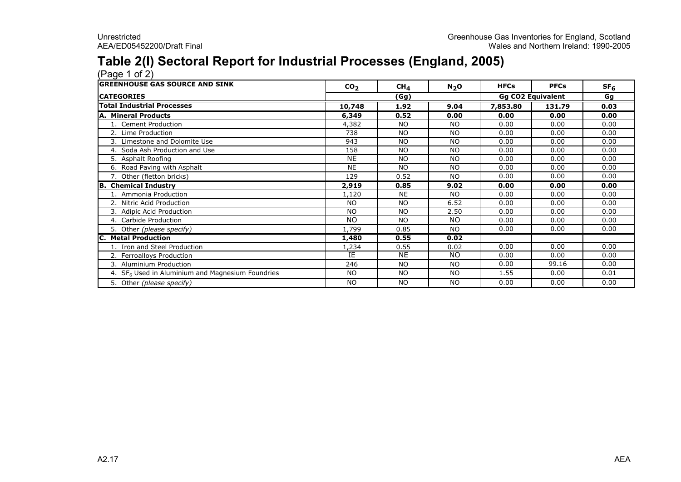### Table 2(I) Sectoral Report for Industrial Processes (England, 2005)

(Page 1 of 2) GREENHOUSE GAS SOURCE AND SINK  $\overline{CO_2}$ 2 CH<sub>4</sub> N<sub>2</sub>O HFCs PFCs SF<sub>6</sub> **CATEGORIES**  Gg Total Industrial Processes 10,748 1.92 9.04 7,853.80 131.79 0.03 A. Mineral Products $\begin{array}{|c|c|c|c|c|c|c|c|c|} \hline \text{ $6,349$} & \text{ $0.52$} & \text{ $0.00$} & \text{ $0.00$} & \text{ $0.00$} & \text{ $0.00$} \ \hline \text{ $6,00$} & \text{ $0.00$} & \text{ $0.00$} & \text{ $0.00$} & \text{ $0.00$} \ \hline \end{array}$ 1. Cement Production 4,382 NO NO 0.00 0.00 0.00 2. Lime Production <sup>738</sup> NO NO 0.00 0.00 0.00 3. Limestone and Dolomite Use <sup>943</sup> NO NO 0.00 0.00 0.00 4. Soda Ash Production and Use158 NO NO 0.00 0.00 0.00<br>المساحد السيار المساحد المساحد المساحد المساحد المساحد المساحد المساحد المساحد المساحد المساحد المساحد المساحد<br>المساحد المساحد المساحد المساحد المساحد المساحد المساحد المساحد المساحد المساحد المسا 5. Asphalt Roofing NEE NO NO 0.00 0.00 0.00<br>E NO NO 0.00 0.00 0.00 6. Road Paving with Asphalt NE NO NO 0.00 0.00 0.00 7. Other (fletton bricks)129 0.52 NO 0.00 0.00 0.00<br>
2010 0.05 0.00 0.00 0.00 0.00 0.00 0.00 B. Chemical Industry 2,919 0.85 9.02 0.00 0.00 0.00 1. Ammonia Production1,120 NE NO 0.00 0.00 0.00<br>مورد المستخدم السياسي المستخدم المستخدم المستخدم المستخدم المستخدم المستخدم المستخدم المستخدم المستخدم المستخد<br>المستخدم المستخدم المستخدم المستخدم المستخدم المستخدم المستخدم المستخدم المستخدم ال 2. Nitric Acid Production NO NO 6.52 0.00 0.00 0.00 3. Adipic Acid Production NO NO 2.50 0.00 0.00 0.00 4. Carbide Productionn NO NO NO 0.00 0.00 0.00 5. Other (please specify)) 1,799 0.85 NO 0.00 0.00 0.00 0.00<br>1,489 0.55 0.00 **Metal Production** m and the contract of the contract of the contract of the contract of the contract of the contract of the contract of  $\frac{1}{2}$  and  $\frac{1}{2}$  and  $\frac{1}{2}$  and  $\frac{1}{2}$  and  $\frac{1}{2}$  and  $\frac{1}{2}$  and  $\frac{1}{2}$  and  $\frac{1$ 1. Iron and Steel Production1,234 0.55 0.00 0.00 0.00 0.00<br>TE NIE NIO 0.00 0.00 0.00 0.00 2. Ferroalloys Productionn IE E NE NO  $\begin{array}{|c|c|c|c|c|c|}\n\hline\n0 & 0.00 & 0.00 & 0.00 \\
\hline\n0 & 0.00 & 0.015 & 0.00 \\
\hline\n\end{array}$ 3. Aluminium Production0.00 n<br>246 | NO | NO | 0.00 99.16 0.00<br>2001 non-t-America No No No No 1 1 EE 0.00 0.01 4.  $SF<sub>6</sub>$  Used in Aluminium and Magnesium Foundries s NO NO NO 1.55 0.00 0.01 5. Other (please specify)) NO NO NO NO 1 0.00 0.00 0.00 (Gg)Gg CO2 Equivalent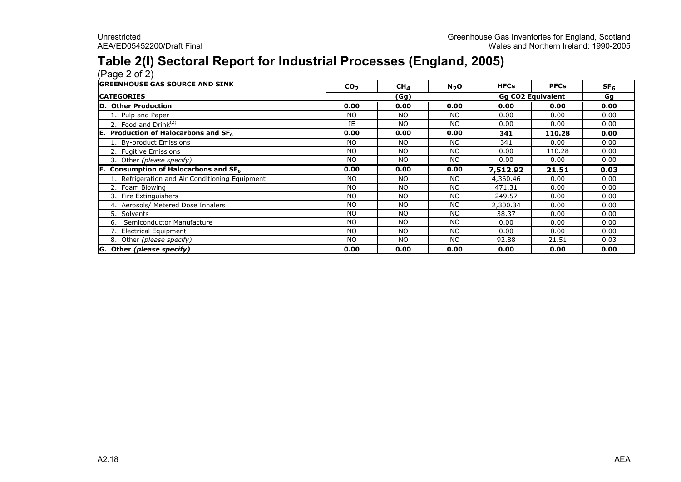### Table 2(I) Sectoral Report for Industrial Processes (England, 2005)

(Page 2 of 2) GREENHOUSE GAS SOURCE AND SINK  $\overline{CO_2}$ 2 CH<sub>4</sub> N<sub>2</sub>O HFCs PFCs SF<sub>6</sub> **CATEGORIES**  Gg D. Other Productionm  $\frac{0.00}{N}$  0.00 0.00 0.00 0.00 0.00 0.00 0.00<br>MO NO NO 0.00 0.00 0.00 0.00 0.00 1. Pulp and Paper NO NO NO 0.00 0.00 0.00 2. Food and  $Drink^{(2)}$  is a set of the set of the set of the set of the set of the set of the set of the set of the set of the set of the set of the set of the set of the set of the set of the set of the set of the set of t E | NO | NO | 0.00 | 0.00 | 0.00<br>000 | 0.00 | 0.00 | 0.11 | 110.00 | 0.00 E. Production of Halocarbons and  $SF<sub>6</sub>$  $\begin{array}{|c|c|c|c|c|c|c|c|c|} \hline \text{6} & \text{0.00} & \text{0.00} & \text{0.00} & \text{0.00} & \text{341} & \text{110.28} & \text{0.00} \ \hline \text{0.00} & & \text{N}_\text{O} & & \text{N}_\text{O} & & \text{241} & & \text{0.00} & \text{0.00} \ \hline \end{array}$ 1. By-product Emissions NO NO NO <sup>341</sup> 0.00 0.00 2. Fugitive Emissions NO NO NO 0.00 110.28 0.00 3. Other (please specify) NO NO NO 0.00 0.00 0.00 F. Consumption of Halocarbons and  $SF<sub>6</sub>$  $\begin{array}{|c|c|c|c|c|c|c|c|c|} \hline \text{6} & \text{0.00} & \text{0.00} & \text{0.00} & \text{0.00} & \text{7,512.92} & \text{21.51} & \text{0.03} \ \hline \text{0.00} & \text{0.01} & \text{0.00} & \text{0.00} & \text{0.00} & \text{0.00} & \text{0.00} \ \hline \end{array}$ 1. Refrigeration and Air Conditioning Equipment NO NO NO 4,360.46 0.00 0.00 2. Foam Blowing NO NO NO 471.31 0.00 0.00 3. Fire Extinguishers NO NO NO 249.57 0.00 0.00 4. Aerosols/ Metered Dose Inhalers NO NO NO 2,300.34 0.00 0.00 5. SolventsNO NO NO NO 38.37 0.00 0.00<br>المسافل المستشرح المسافل المستشرح المستشرح المستشرح المستشرح المستشرح المستشرح المستشرح المستشرح المستشرح المس<br>المستشرح المستشرح المستشرح المستشرح المستشرح المستشرح المستشرح المستشرح المستشرح ا 6. Semiconductor Manufacture NO NO NO 0.00 0.00 0.00 7. Electrical Equipment NO NO NO 0.00 0.00 0.00 8. Other (please specify) NO NO NO 92.88 21.51 0.03 G. Other (please specify) 0.00 0.00 0.00 0.00 0.00 0.00 (Gg) Gg CO2 Equivalent<br>0.00 0.00 0.00 0.00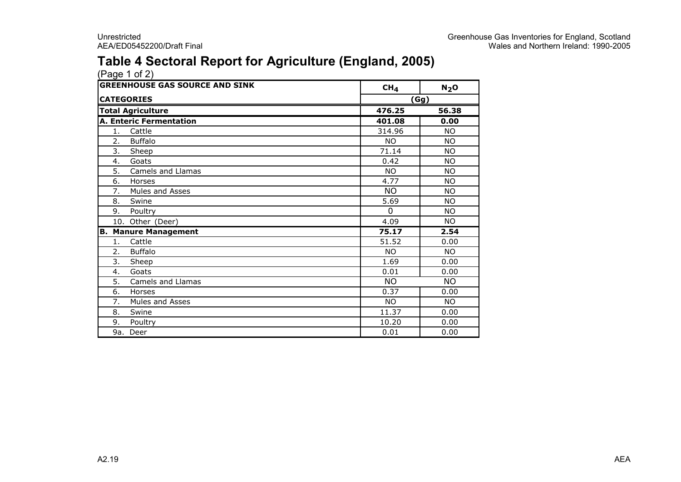### Table 4 Sectoral Report for Agriculture (England, 2005)

| <b>GREENHOUSE GAS SOURCE AND SINK</b> |                          | CH <sub>4</sub> | $N_2$ O   |
|---------------------------------------|--------------------------|-----------------|-----------|
|                                       | <b>CATEGORIES</b>        | (Gg)            |           |
|                                       | <b>Total Agriculture</b> | 476.25<br>56.38 |           |
|                                       | A. Enteric Fermentation  | 401.08          | 0.00      |
| 1.                                    | Cattle                   | 314.96          | <b>NO</b> |
| 2.                                    | <b>Buffalo</b>           | <b>NO</b>       | <b>NO</b> |
| 3.                                    | Sheep                    | 71.14           | <b>NO</b> |
| 4.                                    | Goats                    | 0.42            | <b>NO</b> |
| 5.                                    | Camels and Llamas        | <b>NO</b>       | <b>NO</b> |
| 6.                                    | Horses                   | 4.77            | <b>NO</b> |
| 7.                                    | Mules and Asses          | <b>NO</b>       | <b>NO</b> |
| 8.                                    | Swine                    | 5.69            | <b>NO</b> |
| 9.                                    | Poultry                  | $\Omega$        | <b>NO</b> |
|                                       | 10. Other (Deer)         | 4.09            | NO.       |
| lB.                                   | <b>Manure Management</b> | 75.17           | 2.54      |
| 1.                                    | Cattle                   | 51.52           | 0.00      |
| 2.                                    | <b>Buffalo</b>           | <b>NO</b>       | NO.       |
| 3.                                    | Sheep                    | 1.69            | 0.00      |
| 4.                                    | Goats                    | 0.01            | 0.00      |
| 5.                                    | Camels and Llamas        | <b>NO</b>       | <b>NO</b> |
| 6.                                    | Horses                   | 0.37            | 0.00      |
| 7.                                    | Mules and Asses          | <b>NO</b>       | <b>NO</b> |
| 8.                                    | Swine                    | 11.37           | 0.00      |
| 9.                                    | Poultry                  | 10.20           | 0.00      |
| 9a.                                   | Deer                     | 0.01            | 0.00      |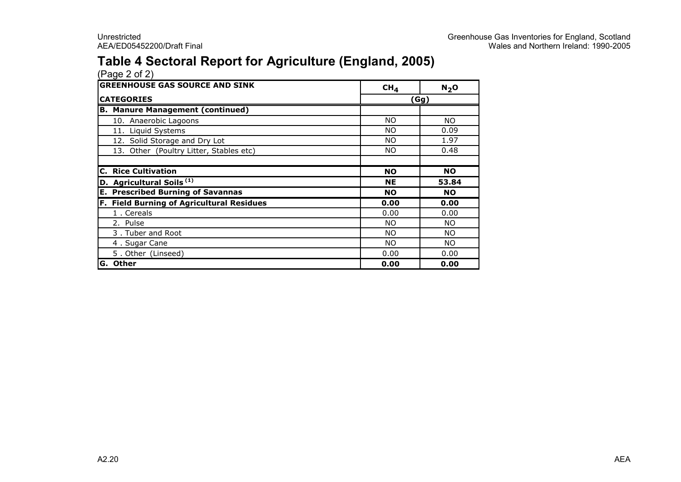### Table 4 Sectoral Report for Agriculture (England, 2005)

| <b>GREENHOUSE GAS SOURCE AND SINK</b>            | CH <sub>4</sub> | N <sub>2</sub> O |  |  |
|--------------------------------------------------|-----------------|------------------|--|--|
| <b>CATEGORIES</b>                                | (Gg)            |                  |  |  |
| <b>B. Manure Management (continued)</b>          |                 |                  |  |  |
| 10. Anaerobic Lagoons                            | <b>NO</b>       | NO.              |  |  |
| 11. Liquid Systems                               | <b>NO</b>       | 0.09             |  |  |
| 12. Solid Storage and Dry Lot                    | <b>NO</b>       | 1.97             |  |  |
| 13. Other (Poultry Litter, Stables etc)          | <b>NO</b>       | 0.48             |  |  |
|                                                  |                 |                  |  |  |
| <b>C. Rice Cultivation</b>                       | <b>NO</b>       | <b>NO</b>        |  |  |
| D. Agricultural Soils <sup>(1)</sup>             | <b>NE</b>       | 53.84            |  |  |
| <b>E. Prescribed Burning of Savannas</b>         | <b>NO</b>       | <b>NO</b>        |  |  |
| <b>F. Field Burning of Agricultural Residues</b> | 0.00            | 0.00             |  |  |
| 1. Cereals                                       | 0.00            | 0.00             |  |  |
| 2. Pulse                                         | <b>NO</b>       | NO.              |  |  |
| 3. Tuber and Root                                | <b>NO</b>       | <b>NO</b>        |  |  |
| 4. Sugar Cane                                    | <b>NO</b>       | NO.              |  |  |
| 5. Other (Linseed)                               | 0.00            | 0.00             |  |  |
| <b>G. Other</b>                                  | 0.00            | 0.00             |  |  |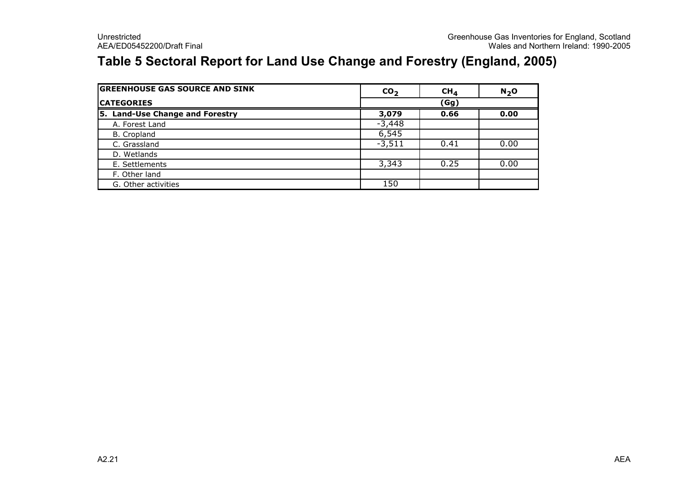### Table 5 Sectoral Report for Land Use Change and Forestry (England, 2005)

| <b>GREENHOUSE GAS SOURCE AND SINK</b> | CO <sub>2</sub> | CH <sub>4</sub> | $N2$ O |
|---------------------------------------|-----------------|-----------------|--------|
| <b>ICATEGORIES</b>                    | (Gg)            |                 |        |
| 5. Land-Use Change and Forestry       | 3,079           | 0.66            | 0.00   |
| A. Forest Land                        | $-3,448$        |                 |        |
| B. Cropland                           | 6,545           |                 |        |
| C. Grassland                          | $-3,511$        | 0.41            | 0.00   |
| D. Wetlands                           |                 |                 |        |
| E. Settlements                        | 3,343           | 0.25            | 0.00   |
| F. Other land                         |                 |                 |        |
| G. Other activities                   | 150             |                 |        |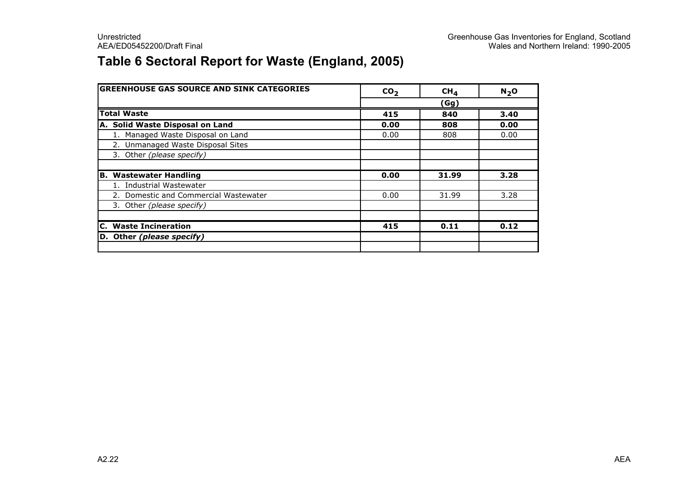### Table 6 Sectoral Report for Waste (England, 2005)

| <b>GREENHOUSE GAS SOURCE AND SINK CATEGORIES</b> | CO <sub>2</sub> | CH <sub>4</sub> | N <sub>2</sub> O |  |  |
|--------------------------------------------------|-----------------|-----------------|------------------|--|--|
|                                                  | (Gg)            |                 |                  |  |  |
| <b>Total Waste</b>                               | 415             | 840             | 3.40             |  |  |
| A. Solid Waste Disposal on Land                  | 0.00            | 808             | 0.00             |  |  |
| 1. Managed Waste Disposal on Land                | 0.00            | 808             | 0.00             |  |  |
| 2. Unmanaged Waste Disposal Sites                |                 |                 |                  |  |  |
| 3. Other (please specify)                        |                 |                 |                  |  |  |
|                                                  |                 |                 |                  |  |  |
| <b>B. Wastewater Handling</b>                    | 0.00            | 31.99           | 3.28             |  |  |
| 1. Industrial Wastewater                         |                 |                 |                  |  |  |
| 2. Domestic and Commercial Wastewater            | 0.00            | 31.99           | 3.28             |  |  |
| 3. Other (please specify)                        |                 |                 |                  |  |  |
|                                                  |                 |                 |                  |  |  |
| <b>C.</b> Waste Incineration                     | 415             | 0.11            | 0.12             |  |  |
| D. Other (please specify)                        |                 |                 |                  |  |  |
|                                                  |                 |                 |                  |  |  |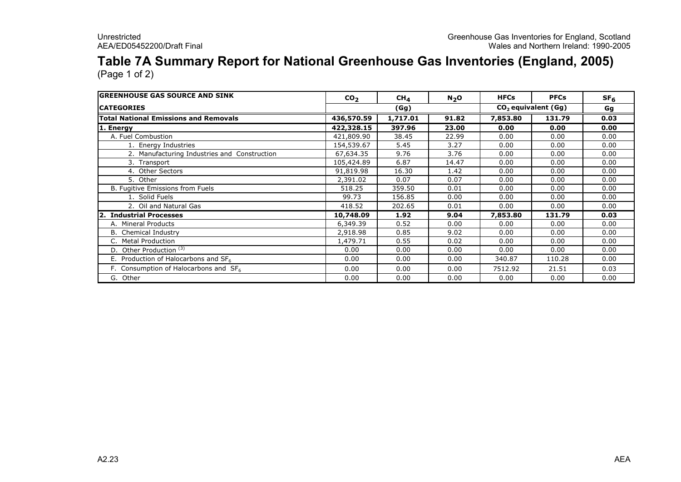### Table 7A Summary Report for National Greenhouse Gas Inventories (England, 2005)

| <b>GREENHOUSE GAS SOURCE AND SINK</b>        | CO <sub>2</sub>                   | CH <sub>4</sub> | $N_2$ O | <b>HFCs</b> | <b>PFCs</b> | SF <sub>6</sub> |
|----------------------------------------------|-----------------------------------|-----------------|---------|-------------|-------------|-----------------|
| <b>ICATEGORIES</b>                           | $CO2$ equivalent ( $Gg$ )<br>(Gg) |                 |         | Gg          |             |                 |
| <b>Total National Emissions and Removals</b> | 436,570.59                        | 1,717.01        | 91.82   | 7,853.80    | 131.79      | 0.03            |
| 1. Energy                                    | 422,328.15                        | 397.96          | 23.00   | 0.00        | 0.00        | 0.00            |
| A. Fuel Combustion                           | 421,809.90                        | 38.45           | 22.99   | 0.00        | 0.00        | 0.00            |
| 1. Energy Industries                         | 154,539.67                        | 5.45            | 3.27    | 0.00        | 0.00        | 0.00            |
| 2. Manufacturing Industries and Construction | 67,634.35                         | 9.76            | 3.76    | 0.00        | 0.00        | 0.00            |
| 3. Transport                                 | 105,424.89                        | 6.87            | 14.47   | 0.00        | 0.00        | 0.00            |
| 4. Other Sectors                             | 91,819.98                         | 16.30           | 1.42    | 0.00        | 0.00        | 0.00            |
| 5. Other                                     | 2,391.02                          | 0.07            | 0.07    | 0.00        | 0.00        | 0.00            |
| B. Fugitive Emissions from Fuels             | 518.25                            | 359.50          | 0.01    | 0.00        | 0.00        | 0.00            |
| 1. Solid Fuels                               | 99.73                             | 156.85          | 0.00    | 0.00        | 0.00        | 0.00            |
| 2. Oil and Natural Gas                       | 418.52                            | 202.65          | 0.01    | 0.00        | 0.00        | 0.00            |
| 2. Industrial Processes                      | 10,748.09                         | 1.92            | 9.04    | 7,853.80    | 131.79      | 0.03            |
| A. Mineral Products                          | 6,349.39                          | 0.52            | 0.00    | 0.00        | 0.00        | 0.00            |
| <b>B.</b> Chemical Industry                  | 2,918.98                          | 0.85            | 9.02    | 0.00        | 0.00        | 0.00            |
| C. Metal Production                          | 1,479.71                          | 0.55            | 0.02    | 0.00        | 0.00        | 0.00            |
| D. Other Production <sup>(3)</sup>           | 0.00                              | 0.00            | 0.00    | 0.00        | 0.00        | 0.00            |
| E. Production of Halocarbons and $SF6$       | 0.00                              | 0.00            | 0.00    | 340.87      | 110.28      | 0.00            |
| F. Consumption of Halocarbons and $SF6$      | 0.00                              | 0.00            | 0.00    | 7512.92     | 21.51       | 0.03            |
| G. Other                                     | 0.00                              | 0.00            | 0.00    | 0.00        | 0.00        | 0.00            |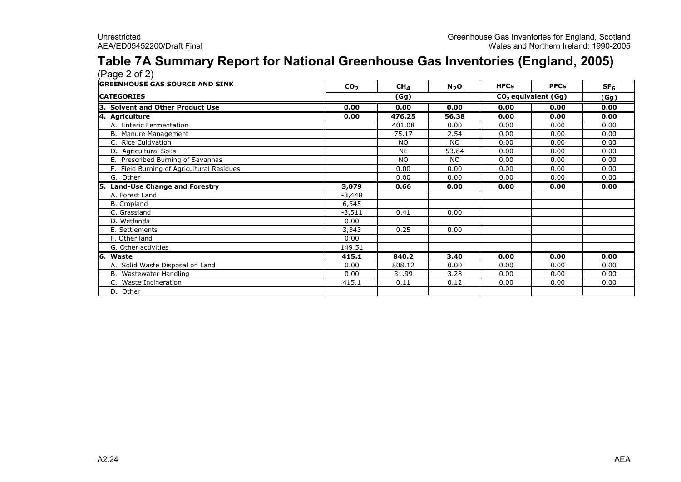#### Table 7A Summary Report for National Greenhouse Gas Inventories (England, 2005)  $(Pane 2 of 2)$

| CO <sub>2</sub> | CH <sub>4</sub> | $N_2$ O                         | <b>HFCs</b> | <b>PFCs</b> | SF <sub>6</sub> |
|-----------------|-----------------|---------------------------------|-------------|-------------|-----------------|
| (Gg)            |                 | CO <sub>2</sub> equivalent (Gg) |             | (Gg)        |                 |
| 0.00            | 0.00            | 0.00                            | 0.00        | 0.00        | 0.00            |
| 0.00            | 476.25          | 56.38                           | 0.00        | 0.00        | 0.00            |
|                 | 401.08          | 0.00                            | 0.00        | 0.00        | 0.00            |
|                 | 75.17           | 2.54                            | 0.00        | 0.00        | 0.00            |
|                 | <b>NO</b>       | NO.                             | 0.00        | 0.00        | 0.00            |
|                 | <b>NE</b>       | 53.84                           | 0.00        | 0.00        | 0.00            |
|                 | <b>NO</b>       | <b>NO</b>                       | 0.00        | 0.00        | 0.00            |
|                 | 0.00            | 0.00                            | 0.00        | 0.00        | 0.00            |
|                 | 0.00            | 0.00                            | 0.00        | 0.00        | 0.00            |
| 3,079           | 0.66            | 0.00                            | 0.00        | 0.00        | 0.00            |
| -3,448          |                 |                                 |             |             |                 |
| 6,545           |                 |                                 |             |             |                 |
| $-3,511$        | 0.41            | 0.00                            |             |             |                 |
| 0.00            |                 |                                 |             |             |                 |
| 3,343           | 0.25            | 0.00                            |             |             |                 |
| 0.00            |                 |                                 |             |             |                 |
| 149.51          |                 |                                 |             |             |                 |
| 415.1           | 840.2           | 3.40                            | 0.00        | 0.00        | 0.00            |
| 0.00            | 808.12          | 0.00                            | 0.00        | 0.00        | 0.00            |
| 0.00            | 31.99           | 3.28                            | 0.00        | 0.00        | 0.00            |
| 415.1           | 0.11            | 0.12                            | 0.00        | 0.00        | 0.00            |
|                 |                 |                                 |             |             |                 |
|                 |                 |                                 |             |             |                 |